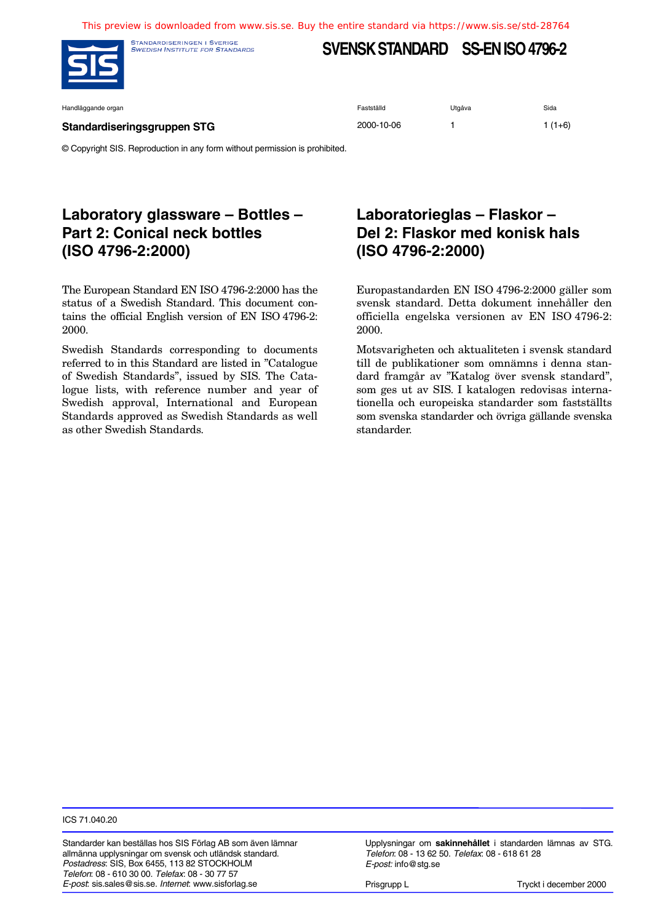

**STANDARDISERINGEN I SVERIGE**<br>SWEDISH INSTITUTE FOR STANDARDS

## **SVENSK STANDARD SS-EN ISO 4796-2**

Handläggande organ Fastställd Utgåva Sida

#### **Standardiseringsgruppen STG** 2000-10-06 1 1 1 (1+6)

© Copyright SIS. Reproduction in any form without permission is prohibited.

### **Laboratory glassware – Bottles – Part 2: Conical neck bottles (ISO 4796-2:2000)**

The European Standard EN ISO 4796-2:2000 has the status of a Swedish Standard. This document contains the official English version of EN ISO 4796-2: 2000.

Swedish Standards corresponding to documents referred to in this Standard are listed in "Catalogue of Swedish Standards", issued by SIS. The Catalogue lists, with reference number and year of Swedish approval, International and European Standards approved as Swedish Standards as well as other Swedish Standards.

## **Laboratorieglas – Flaskor – Del 2: Flaskor med konisk hals (ISO 4796-2:2000)**

Europastandarden EN ISO 4796-2:2000 gäller som svensk standard. Detta dokument innehåller den officiella engelska versionen av EN ISO 4796-2: 2000.

Motsvarigheten och aktualiteten i svensk standard till de publikationer som omnämns i denna standard framgår av "Katalog över svensk standard", som ges ut av SIS. I katalogen redovisas internationella och europeiska standarder som fastställts som svenska standarder och övriga gällande svenska standarder.

ICS 71.040.20

Standarder kan beställas hos SIS Förlag AB som även lämnar allmänna upplysningar om svensk och utländsk standard. Postadress: SIS, Box 6455, 113 82 STOCKHOLM Telefon: 08 - 610 30 00. Telefax: 08 - 30 77 57 E-post: sis.sales@sis.se. Internet: www.sisforlag.se

Upplysningar om **sakinnehållet** i standarden lämnas av STG. Telefon: 08 - 13 62 50. Telefax: 08 - 618 61 28 E-post: info@stg.se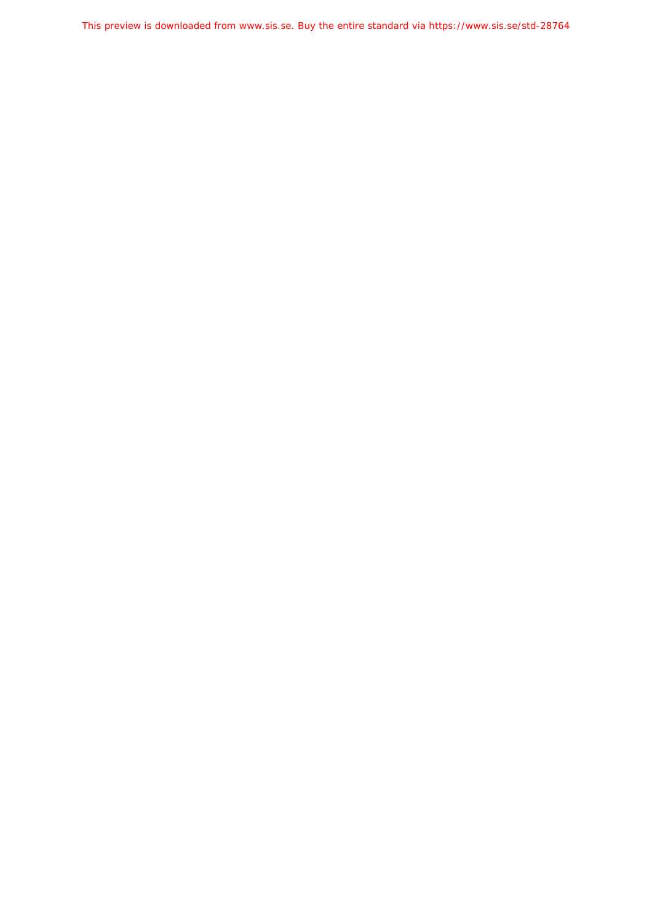This preview is downloaded from www.sis.se. Buy the entire standard via https://www.sis.se/std-28764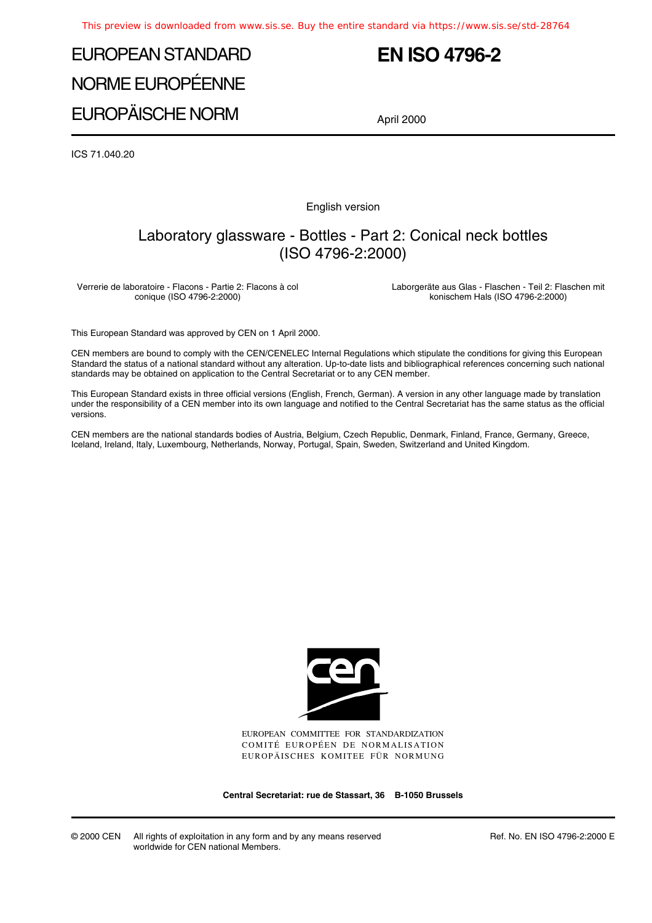# EUROPEAN STANDARD NORME EUROPÉENNE EUROPÄISCHE NORM

# **EN ISO 4796-2**

April 2000

ICS 71.040.20

English version

### Laboratory glassware - Bottles - Part 2: Conical neck bottles (ISO 4796-2:2000)

Verrerie de laboratoire - Flacons - Partie 2: Flacons à col conique (ISO 4796-2:2000)

Laborgeräte aus Glas - Flaschen - Teil 2: Flaschen mit konischem Hals (ISO 4796-2:2000)

This European Standard was approved by CEN on 1 April 2000.

CEN members are bound to comply with the CEN/CENELEC Internal Regulations which stipulate the conditions for giving this European Standard the status of a national standard without any alteration. Up-to-date lists and bibliographical references concerning such national standards may be obtained on application to the Central Secretariat or to any CEN member.

This European Standard exists in three official versions (English, French, German). A version in any other language made by translation under the responsibility of a CEN member into its own language and notified to the Central Secretariat has the same status as the official versions.

CEN members are the national standards bodies of Austria, Belgium, Czech Republic, Denmark, Finland, France, Germany, Greece, Iceland, Ireland, Italy, Luxembourg, Netherlands, Norway, Portugal, Spain, Sweden, Switzerland and United Kingdom.



EUROPEAN COMMITTEE FOR STANDARDIZATION COMITÉ EUROPÉEN DE NORMALISATION EUROPÄISCHES KOMITEE FÜR NORMUNG

**Central Secretariat: rue de Stassart, 36 B-1050 Brussels**

© 2000 CEN All rights of exploitation in any form and by any means reserved worldwide for CEN national Members.

Ref. No. EN ISO 4796-2:2000 E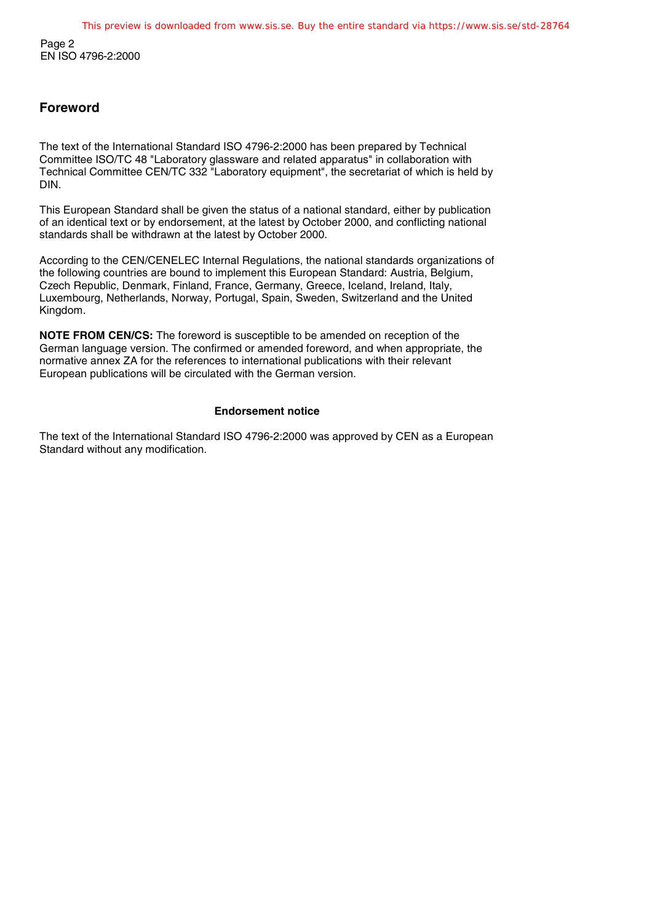Page 2 EN ISO 4796-2:2000

### **Foreword**

The text of the International Standard ISO 4796-2:2000 has been prepared by Technical Committee ISO/TC 48 "Laboratory glassware and related apparatus" in collaboration with Technical Committee CEN/TC 332 "Laboratory equipment", the secretariat of which is held by DIN.

This European Standard shall be given the status of a national standard, either by publication of an identical text or by endorsement, at the latest by October 2000, and conflicting national standards shall be withdrawn at the latest by October 2000.

According to the CEN/CENELEC Internal Regulations, the national standards organizations of the following countries are bound to implement this European Standard: Austria, Belgium, Czech Republic, Denmark, Finland, France, Germany, Greece, Iceland, Ireland, Italy, Luxembourg, Netherlands, Norway, Portugal, Spain, Sweden, Switzerland and the United Kingdom.

**NOTE FROM CEN/CS:** The foreword is susceptible to be amended on reception of the German language version. The confirmed or amended foreword, and when appropriate, the normative annex ZA for the references to international publications with their relevant European publications will be circulated with the German version.

### **Endorsement notice**

The text of the International Standard ISO 4796-2:2000 was approved by CEN as a European Standard without any modification.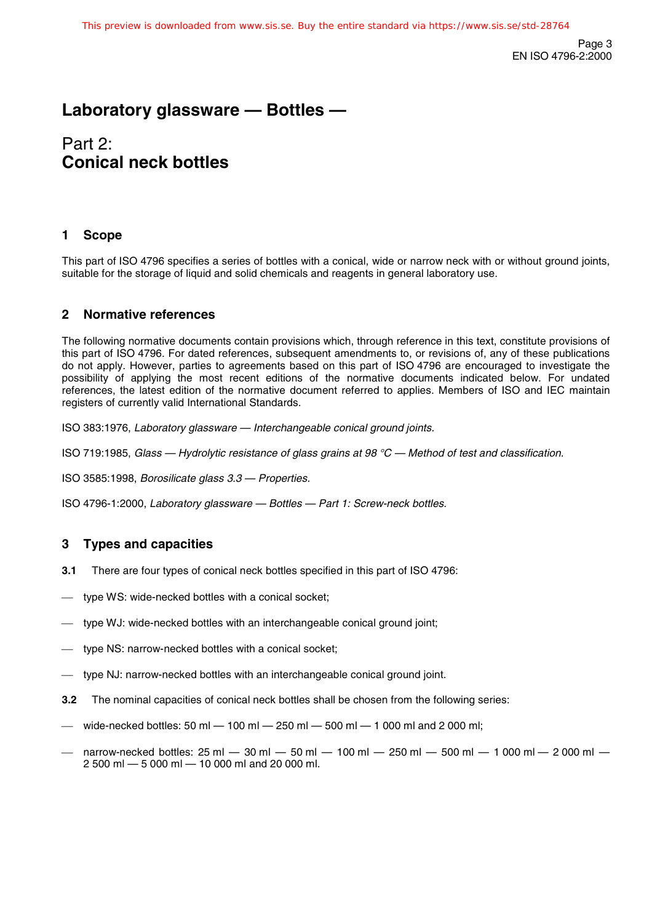Page 3 EN ISO 4796-2:2000

# **Laboratory glassware — Bottles —**

# Part 2: **Conical neck bottles**

### **1 Scope**

This part of ISO 4796 specifies a series of bottles with a conical, wide or narrow neck with or without ground joints, suitable for the storage of liquid and solid chemicals and reagents in general laboratory use.

### **2 Normative references**

The following normative documents contain provisions which, through reference in this text, constitute provisions of this part of ISO 4796. For dated references, subsequent amendments to, or revisions of, any of these publications do not apply. However, parties to agreements based on this part of ISO 4796 are encouraged to investigate the possibility of applying the most recent editions of the normative documents indicated below. For undated references, the latest edition of the normative document referred to applies. Members of ISO and IEC maintain registers of currently valid International Standards.

ISO 383:1976, Laboratory glassware — Interchangeable conical ground joints.

ISO 719:1985, Glass — Hydrolytic resistance of glass grains at 98 °C — Method of test and classification.

ISO 3585:1998, Borosilicate glass 3.3 — Properties.

ISO 4796-1:2000, Laboratory glassware — Bottles — Part 1: Screw-neck bottles.

### **3 Types and capacities**

- **3.1** There are four types of conical neck bottles specified in this part of ISO 4796:
- type WS: wide-necked bottles with a conical socket;
- type WJ: wide-necked bottles with an interchangeable conical ground joint;
- type NS: narrow-necked bottles with a conical socket;
- type NJ: narrow-necked bottles with an interchangeable conical ground joint.
- **3.2** The nominal capacities of conical neck bottles shall be chosen from the following series:
- $-$  wide-necked bottles: 50 ml  $-$  100 ml  $-$  250 ml  $-$  500 ml  $-$  1 000 ml and 2 000 ml;
- $-$  narrow-necked bottles: 25 ml  $-$  30 ml  $-$  50 ml  $-$  100 ml  $-$  250 ml  $-$  500 ml  $-$  1 000 ml  $-$  2 000 ml  $-$ 2 500 ml — 5 000 ml — 10 000 ml and 20 000 ml.